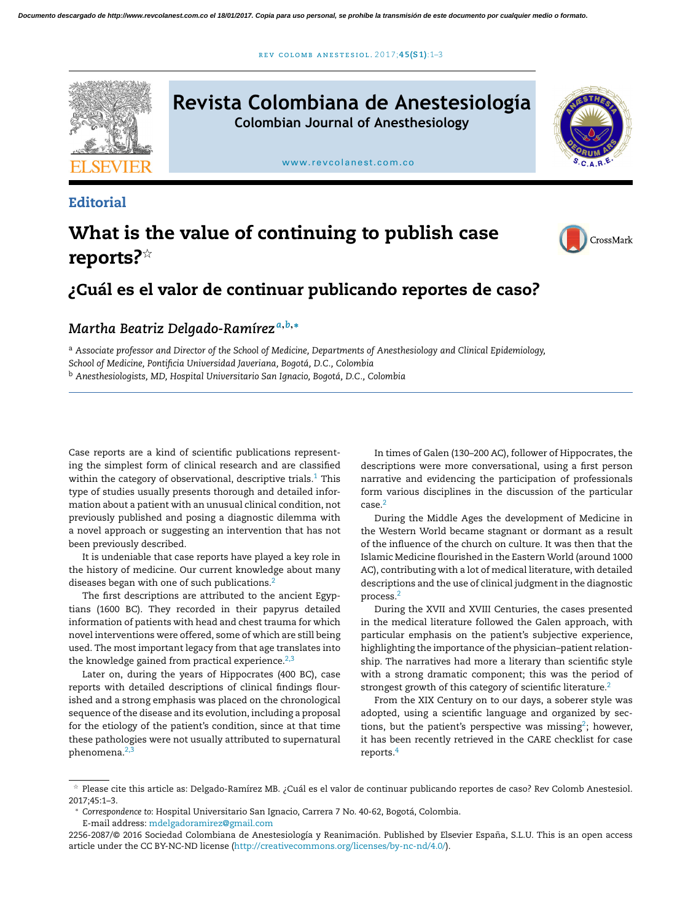r ev [colomb](dx.doi.org/10.1016/j.rcae.2016.11.009) ane s t e s iol . 2 0 1 7;**45(S1)**:1–3



## **Editorial**

# What is the value of continuing to publish case reports? $\stackrel{\leftrightarrow}{\phantom{\sim}}$



## ¿Cuál es el valor de continuar publicando reportes de caso?

## *Martha Beatriz Delgado-Ramírez <sup>a</sup>*,*b*,<sup>∗</sup>

<sup>a</sup> *Associate professor and Director of the School of Medicine, Departments of Anesthesiology and Clinical Epidemiology,*

*School of Medicine, Pontificia Universidad Javeriana, Bogotá, D.C., Colombia*

<sup>b</sup> *Anesthesiologists, MD, Hospital Universitario San Ignacio, Bogotá, D.C., Colombia*

Case reports are a kind of scientific publications representing the simplest form of clinical research and are classified within the category of observational, descriptive trials.<sup>[1](#page-1-0)</sup> This type of studies usually presents thorough and detailed information about a patient with an unusual clinical condition, not previously published and posing a diagnostic dilemma with a novel approach or suggesting an intervention that has not been previously described.

It is undeniable that case reports have played a key role in the history of medicine. Our current knowledge about many diseases began with one of such publications.<sup>[2](#page-1-0)</sup>

The first descriptions are attributed to the ancient Egyptians (1600 BC). They recorded in their papyrus detailed information of patients with head and chest trauma for which novel interventions were offered, some of which are still being used. The most important legacy from that age translates into the knowledge gained from practical experience. $2,3$ 

Later on, during the years of Hippocrates (400 BC), case reports with detailed descriptions of clinical findings flourished and a strong emphasis was placed on the chronological sequence of the disease and its evolution, including a proposal for the etiology of the patient's condition, since at that time these pathologies were not usually attributed to supernatural phenomena.[2,3](#page-1-0)

In times of Galen (130–200 AC), follower of Hippocrates, the descriptions were more conversational, using a first person narrative and evidencing the participation of professionals form various disciplines in the discussion of the particular case.[2](#page-1-0)

During the Middle Ages the development of Medicine in the Western World became stagnant or dormant as a result of the influence of the church on culture. It was then that the Islamic Medicine flourished in the Eastern World (around 1000 AC), contributing with a lot of medical literature, with detailed descriptions and the use of clinical judgment in the diagnostic process.[2](#page-1-0)

During the XVII and XVIII Centuries, the cases presented in the medical literature followed the Galen approach, with particular emphasis on the patient's subjective experience, highlighting the importance of the physician–patient relationship. The narratives had more a literary than scientific style with a strong dramatic component; this was the period of strongest growth of this category of scientific literature.<sup>[2](#page-1-0)</sup>

From the XIX Century on to our days, a soberer style was adopted, using a scientific language and organized by sec-tions, but the patient's perspective was missing<sup>[2](#page-1-0)</sup>; however, it has been recently retrieved in the CARE checklist for case reports.[4](#page-1-0)

<sup>-</sup> Please cite this article as: Delgado-Ramírez MB. ¿Cuál es el valor de continuar publicando reportes de caso? Rev Colomb Anestesiol. 2017;45:1–3.

<sup>∗</sup> *Correspondence to*: Hospital Universitario San Ignacio, Carrera 7 No. 40-62, Bogotá, Colombia. E-mail address: [mdelgadoramirez@gmail.com](mailto:mdelgadoramirez@gmail.com)

<sup>2256-2087/© 2016</sup> Sociedad Colombiana de Anestesiología y Reanimación. Published by Elsevier España, S.L.U. This is an open access article under the CC BY-NC-ND license ([http://creativecommons.org/licenses/by-nc-nd/4.0/\)](http://creativecommons.org/licenses/by-nc-nd/4.0/).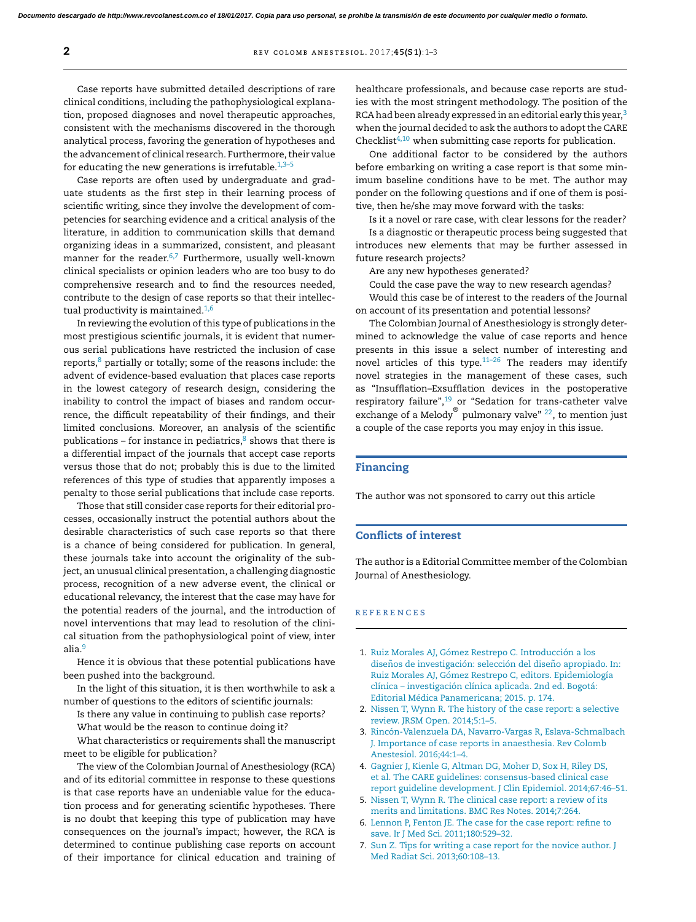<span id="page-1-0"></span>Case reports have submitted detailed descriptions of rare clinical conditions, including the pathophysiological explanation, proposed diagnoses and novel therapeutic approaches, consistent with the mechanisms discovered in the thorough analytical process, favoring the generation of hypotheses and the advancement of clinical research. Furthermore, their value for educating the new generations is irrefutable. $1,3-5$ 

Case reports are often used by undergraduate and graduate students as the first step in their learning process of scientific writing, since they involve the development of competencies for searching evidence and a critical analysis of the literature, in addition to communication skills that demand organizing ideas in a summarized, consistent, and pleasant manner for the reader.<sup>6,7</sup> Furthermore, usually well-known clinical specialists or opinion leaders who are too busy to do comprehensive research and to find the resources needed, contribute to the design of case reports so that their intellectual productivity is maintained.<sup>1,6</sup>

In reviewing the evolution of this type of publications in the most prestigious scientific journals, it is evident that numerous serial publications have restricted the inclusion of case reports,<sup>[8](#page-2-0)</sup> partially or totally; some of the reasons include: the advent of evidence-based evaluation that places case reports in the lowest category of research design, considering the inability to control the impact of biases and random occurrence, the difficult repeatability of their findings, and their limited conclusions. Moreover, an analysis of the scientific publications – for instance in pediatrics, $8$  shows that there is a differential impact of the journals that accept case reports versus those that do not; probably this is due to the limited references of this type of studies that apparently imposes a penalty to those serial publications that include case reports.

Those that still consider case reports for their editorial processes, occasionally instruct the potential authors about the desirable characteristics of such case reports so that there is a chance of being considered for publication. In general, these journals take into account the originality of the subject, an unusual clinical presentation, a challenging diagnostic process, recognition of a new adverse event, the clinical or educational relevancy, the interest that the case may have for the potential readers of the journal, and the introduction of novel interventions that may lead to resolution of the clinical situation from the pathophysiological point of view, inter alia.<sup>[9](#page-2-0)</sup>

Hence it is obvious that these potential publications have been pushed into the background.

In the light of this situation, it is then worthwhile to ask a number of questions to the editors of scientific journals:

Is there any value in continuing to publish case reports?

What would be the reason to continue doing it?

What characteristics or requirements shall the manuscript meet to be eligible for publication?

The view of the Colombian Journal of Anesthesiology (RCA) and of its editorial committee in response to these questions is that case reports have an undeniable value for the education process and for generating scientific hypotheses. There is no doubt that keeping this type of publication may have consequences on the journal's impact; however, the RCA is determined to continue publishing case reports on account of their importance for clinical education and training of healthcare professionals, and because case reports are studies with the most stringent methodology. The position of the RCA had been already expressed in an editorial early this year,<sup>3</sup> when the journal decided to ask the authors to adopt the CARE Checklist $4,10$  when submitting case reports for publication.

One additional factor to be considered by the authors before embarking on writing a case report is that some minimum baseline conditions have to be met. The author may ponder on the following questions and if one of them is positive, then he/she may move forward with the tasks:

Is it a novel or rare case, with clear lessons for the reader?

Is a diagnostic or therapeutic process being suggested that introduces new elements that may be further assessed in future research projects?

Are any new hypotheses generated?

Could the case pave the way to new research agendas?

Would this case be of interest to the readers of the Journal on account of its presentation and potential lessons?

The Colombian Journal of Anesthesiology is strongly determined to acknowledge the value of case reports and hence presents in this issue a select number of interesting and novel articles of this type.[11–26](#page-2-0) The readers may identify novel strategies in the management of these cases, such as "Insufflation–Exsufflation devices in the postoperative respiratory failure",<sup>[19](#page-2-0)</sup> or "Sedation for trans-catheter valve exchange of a Melody® pulmonary valve" <sup>[22](#page-2-0)</sup>, to mention just a couple of the case reports you may enjoy in this issue.

### Financing

The author was not sponsored to carry out this article

#### Conflicts of interest

The author is a Editorial Committee member of the Colombian Journal of Anesthesiology.

#### r e f e r enc e s

- 1. [Ruiz](http://refhub.elsevier.com/S2256-2087(16)30079-7/sbref0060) [Morales](http://refhub.elsevier.com/S2256-2087(16)30079-7/sbref0060) [AJ,](http://refhub.elsevier.com/S2256-2087(16)30079-7/sbref0060) [Gómez](http://refhub.elsevier.com/S2256-2087(16)30079-7/sbref0060) [Restrepo](http://refhub.elsevier.com/S2256-2087(16)30079-7/sbref0060) [C.](http://refhub.elsevier.com/S2256-2087(16)30079-7/sbref0060) [Introducción](http://refhub.elsevier.com/S2256-2087(16)30079-7/sbref0060) [a](http://refhub.elsevier.com/S2256-2087(16)30079-7/sbref0060) [los](http://refhub.elsevier.com/S2256-2087(16)30079-7/sbref0060) diseños [de](http://refhub.elsevier.com/S2256-2087(16)30079-7/sbref0060) [investigación:](http://refhub.elsevier.com/S2256-2087(16)30079-7/sbref0060) [selección](http://refhub.elsevier.com/S2256-2087(16)30079-7/sbref0060) [del](http://refhub.elsevier.com/S2256-2087(16)30079-7/sbref0060) diseño [apropiado.](http://refhub.elsevier.com/S2256-2087(16)30079-7/sbref0060) [In:](http://refhub.elsevier.com/S2256-2087(16)30079-7/sbref0060) [Ruiz](http://refhub.elsevier.com/S2256-2087(16)30079-7/sbref0060) [Morales](http://refhub.elsevier.com/S2256-2087(16)30079-7/sbref0060) [AJ,](http://refhub.elsevier.com/S2256-2087(16)30079-7/sbref0060) [Gómez](http://refhub.elsevier.com/S2256-2087(16)30079-7/sbref0060) [Restrepo](http://refhub.elsevier.com/S2256-2087(16)30079-7/sbref0060) [C,](http://refhub.elsevier.com/S2256-2087(16)30079-7/sbref0060) [editors.](http://refhub.elsevier.com/S2256-2087(16)30079-7/sbref0060) [Epidemiología](http://refhub.elsevier.com/S2256-2087(16)30079-7/sbref0060) [clínica](http://refhub.elsevier.com/S2256-2087(16)30079-7/sbref0060) – [investigación](http://refhub.elsevier.com/S2256-2087(16)30079-7/sbref0060) [clínica](http://refhub.elsevier.com/S2256-2087(16)30079-7/sbref0060) [aplicada.](http://refhub.elsevier.com/S2256-2087(16)30079-7/sbref0060) [2nd](http://refhub.elsevier.com/S2256-2087(16)30079-7/sbref0060) [ed.](http://refhub.elsevier.com/S2256-2087(16)30079-7/sbref0060) [Bogotá:](http://refhub.elsevier.com/S2256-2087(16)30079-7/sbref0060) [Editorial](http://refhub.elsevier.com/S2256-2087(16)30079-7/sbref0060) [Médica](http://refhub.elsevier.com/S2256-2087(16)30079-7/sbref0060) [Panamericana;](http://refhub.elsevier.com/S2256-2087(16)30079-7/sbref0060) [2015.](http://refhub.elsevier.com/S2256-2087(16)30079-7/sbref0060) [p.](http://refhub.elsevier.com/S2256-2087(16)30079-7/sbref0060) [174.](http://refhub.elsevier.com/S2256-2087(16)30079-7/sbref0060)
- 2. [Nissen](http://refhub.elsevier.com/S2256-2087(16)30079-7/sbref0065) [T,](http://refhub.elsevier.com/S2256-2087(16)30079-7/sbref0065) [Wynn](http://refhub.elsevier.com/S2256-2087(16)30079-7/sbref0065) [R.](http://refhub.elsevier.com/S2256-2087(16)30079-7/sbref0065) [The](http://refhub.elsevier.com/S2256-2087(16)30079-7/sbref0065) [history](http://refhub.elsevier.com/S2256-2087(16)30079-7/sbref0065) [of](http://refhub.elsevier.com/S2256-2087(16)30079-7/sbref0065) [the](http://refhub.elsevier.com/S2256-2087(16)30079-7/sbref0065) [case](http://refhub.elsevier.com/S2256-2087(16)30079-7/sbref0065) [report:](http://refhub.elsevier.com/S2256-2087(16)30079-7/sbref0065) [a](http://refhub.elsevier.com/S2256-2087(16)30079-7/sbref0065) [selective](http://refhub.elsevier.com/S2256-2087(16)30079-7/sbref0065) [review.](http://refhub.elsevier.com/S2256-2087(16)30079-7/sbref0065) [JRSM](http://refhub.elsevier.com/S2256-2087(16)30079-7/sbref0065) [Open.](http://refhub.elsevier.com/S2256-2087(16)30079-7/sbref0065) [2014;5:1](http://refhub.elsevier.com/S2256-2087(16)30079-7/sbref0065)–[5.](http://refhub.elsevier.com/S2256-2087(16)30079-7/sbref0065)
- 3. [Rincón-Valenzuela](http://refhub.elsevier.com/S2256-2087(16)30079-7/sbref0070) [DA,](http://refhub.elsevier.com/S2256-2087(16)30079-7/sbref0070) [Navarro-Vargas](http://refhub.elsevier.com/S2256-2087(16)30079-7/sbref0070) [R,](http://refhub.elsevier.com/S2256-2087(16)30079-7/sbref0070) [Eslava-Schmalbach](http://refhub.elsevier.com/S2256-2087(16)30079-7/sbref0070) [J.](http://refhub.elsevier.com/S2256-2087(16)30079-7/sbref0070) [Importance](http://refhub.elsevier.com/S2256-2087(16)30079-7/sbref0070) [of](http://refhub.elsevier.com/S2256-2087(16)30079-7/sbref0070) [case](http://refhub.elsevier.com/S2256-2087(16)30079-7/sbref0070) [reports](http://refhub.elsevier.com/S2256-2087(16)30079-7/sbref0070) [in](http://refhub.elsevier.com/S2256-2087(16)30079-7/sbref0070) [anaesthesia.](http://refhub.elsevier.com/S2256-2087(16)30079-7/sbref0070) [Rev](http://refhub.elsevier.com/S2256-2087(16)30079-7/sbref0070) [Colomb](http://refhub.elsevier.com/S2256-2087(16)30079-7/sbref0070) [Anestesiol.](http://refhub.elsevier.com/S2256-2087(16)30079-7/sbref0070) [2016;44:1–4.](http://refhub.elsevier.com/S2256-2087(16)30079-7/sbref0070)
- 4. [Gagnier](http://refhub.elsevier.com/S2256-2087(16)30079-7/sbref0075) [J,](http://refhub.elsevier.com/S2256-2087(16)30079-7/sbref0075) [Kienle](http://refhub.elsevier.com/S2256-2087(16)30079-7/sbref0075) [G,](http://refhub.elsevier.com/S2256-2087(16)30079-7/sbref0075) [Altman](http://refhub.elsevier.com/S2256-2087(16)30079-7/sbref0075) [DG,](http://refhub.elsevier.com/S2256-2087(16)30079-7/sbref0075) [Moher](http://refhub.elsevier.com/S2256-2087(16)30079-7/sbref0075) [D,](http://refhub.elsevier.com/S2256-2087(16)30079-7/sbref0075) [Sox](http://refhub.elsevier.com/S2256-2087(16)30079-7/sbref0075) [H,](http://refhub.elsevier.com/S2256-2087(16)30079-7/sbref0075) [Riley](http://refhub.elsevier.com/S2256-2087(16)30079-7/sbref0075) [DS,](http://refhub.elsevier.com/S2256-2087(16)30079-7/sbref0075) [et](http://refhub.elsevier.com/S2256-2087(16)30079-7/sbref0075) [al.](http://refhub.elsevier.com/S2256-2087(16)30079-7/sbref0075) [The](http://refhub.elsevier.com/S2256-2087(16)30079-7/sbref0075) [CARE](http://refhub.elsevier.com/S2256-2087(16)30079-7/sbref0075) [guidelines:](http://refhub.elsevier.com/S2256-2087(16)30079-7/sbref0075) [consensus-based](http://refhub.elsevier.com/S2256-2087(16)30079-7/sbref0075) [clinical](http://refhub.elsevier.com/S2256-2087(16)30079-7/sbref0075) [case](http://refhub.elsevier.com/S2256-2087(16)30079-7/sbref0075) [report](http://refhub.elsevier.com/S2256-2087(16)30079-7/sbref0075) [guideline](http://refhub.elsevier.com/S2256-2087(16)30079-7/sbref0075) [development.](http://refhub.elsevier.com/S2256-2087(16)30079-7/sbref0075) [J](http://refhub.elsevier.com/S2256-2087(16)30079-7/sbref0075) [Clin](http://refhub.elsevier.com/S2256-2087(16)30079-7/sbref0075) [Epidemiol.](http://refhub.elsevier.com/S2256-2087(16)30079-7/sbref0075) [2014;67:46](http://refhub.elsevier.com/S2256-2087(16)30079-7/sbref0075)–[51.](http://refhub.elsevier.com/S2256-2087(16)30079-7/sbref0075)
- 5. [Nissen](http://refhub.elsevier.com/S2256-2087(16)30079-7/sbref0080) [T,](http://refhub.elsevier.com/S2256-2087(16)30079-7/sbref0080) [Wynn](http://refhub.elsevier.com/S2256-2087(16)30079-7/sbref0080) [R.](http://refhub.elsevier.com/S2256-2087(16)30079-7/sbref0080) [The](http://refhub.elsevier.com/S2256-2087(16)30079-7/sbref0080) [clinical](http://refhub.elsevier.com/S2256-2087(16)30079-7/sbref0080) [case](http://refhub.elsevier.com/S2256-2087(16)30079-7/sbref0080) [report:](http://refhub.elsevier.com/S2256-2087(16)30079-7/sbref0080) [a](http://refhub.elsevier.com/S2256-2087(16)30079-7/sbref0080) [review](http://refhub.elsevier.com/S2256-2087(16)30079-7/sbref0080) [of](http://refhub.elsevier.com/S2256-2087(16)30079-7/sbref0080) [its](http://refhub.elsevier.com/S2256-2087(16)30079-7/sbref0080) [merits](http://refhub.elsevier.com/S2256-2087(16)30079-7/sbref0080) [and](http://refhub.elsevier.com/S2256-2087(16)30079-7/sbref0080) [limitations.](http://refhub.elsevier.com/S2256-2087(16)30079-7/sbref0080) [BMC](http://refhub.elsevier.com/S2256-2087(16)30079-7/sbref0080) [Res](http://refhub.elsevier.com/S2256-2087(16)30079-7/sbref0080) [Notes.](http://refhub.elsevier.com/S2256-2087(16)30079-7/sbref0080) [2014;7:264.](http://refhub.elsevier.com/S2256-2087(16)30079-7/sbref0080)
- 6. [Lennon](http://refhub.elsevier.com/S2256-2087(16)30079-7/sbref0085) [P,](http://refhub.elsevier.com/S2256-2087(16)30079-7/sbref0085) [Fenton](http://refhub.elsevier.com/S2256-2087(16)30079-7/sbref0085) [JE.](http://refhub.elsevier.com/S2256-2087(16)30079-7/sbref0085) [The](http://refhub.elsevier.com/S2256-2087(16)30079-7/sbref0085) [case](http://refhub.elsevier.com/S2256-2087(16)30079-7/sbref0085) [for](http://refhub.elsevier.com/S2256-2087(16)30079-7/sbref0085) [the](http://refhub.elsevier.com/S2256-2087(16)30079-7/sbref0085) [case](http://refhub.elsevier.com/S2256-2087(16)30079-7/sbref0085) [report:](http://refhub.elsevier.com/S2256-2087(16)30079-7/sbref0085) [refine](http://refhub.elsevier.com/S2256-2087(16)30079-7/sbref0085) [to](http://refhub.elsevier.com/S2256-2087(16)30079-7/sbref0085) [save.](http://refhub.elsevier.com/S2256-2087(16)30079-7/sbref0085) [Ir](http://refhub.elsevier.com/S2256-2087(16)30079-7/sbref0085) [J](http://refhub.elsevier.com/S2256-2087(16)30079-7/sbref0085) [Med](http://refhub.elsevier.com/S2256-2087(16)30079-7/sbref0085) [Sci.](http://refhub.elsevier.com/S2256-2087(16)30079-7/sbref0085) [2011;180:529–32.](http://refhub.elsevier.com/S2256-2087(16)30079-7/sbref0085)
- 7. [Sun](http://refhub.elsevier.com/S2256-2087(16)30079-7/sbref0090) [Z.](http://refhub.elsevier.com/S2256-2087(16)30079-7/sbref0090) [Tips](http://refhub.elsevier.com/S2256-2087(16)30079-7/sbref0090) [for](http://refhub.elsevier.com/S2256-2087(16)30079-7/sbref0090) [writing](http://refhub.elsevier.com/S2256-2087(16)30079-7/sbref0090) [a](http://refhub.elsevier.com/S2256-2087(16)30079-7/sbref0090) [case](http://refhub.elsevier.com/S2256-2087(16)30079-7/sbref0090) [report](http://refhub.elsevier.com/S2256-2087(16)30079-7/sbref0090) [for](http://refhub.elsevier.com/S2256-2087(16)30079-7/sbref0090) [the](http://refhub.elsevier.com/S2256-2087(16)30079-7/sbref0090) [novice](http://refhub.elsevier.com/S2256-2087(16)30079-7/sbref0090) [author.](http://refhub.elsevier.com/S2256-2087(16)30079-7/sbref0090) [J](http://refhub.elsevier.com/S2256-2087(16)30079-7/sbref0090) [Med](http://refhub.elsevier.com/S2256-2087(16)30079-7/sbref0090) [Radiat](http://refhub.elsevier.com/S2256-2087(16)30079-7/sbref0090) [Sci.](http://refhub.elsevier.com/S2256-2087(16)30079-7/sbref0090) [2013;60:108–13.](http://refhub.elsevier.com/S2256-2087(16)30079-7/sbref0090)